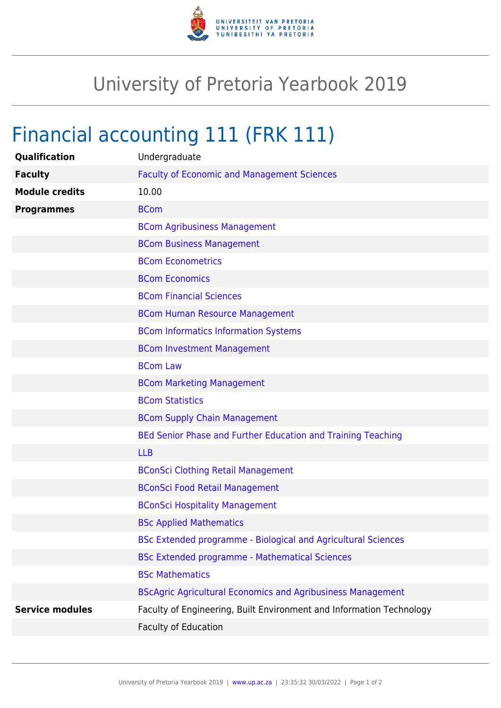

## University of Pretoria Yearbook 2019

## Financial accounting 111 (FRK 111)

| Qualification          | Undergraduate                                                        |
|------------------------|----------------------------------------------------------------------|
| <b>Faculty</b>         | <b>Faculty of Economic and Management Sciences</b>                   |
| <b>Module credits</b>  | 10.00                                                                |
| <b>Programmes</b>      | <b>BCom</b>                                                          |
|                        | <b>BCom Agribusiness Management</b>                                  |
|                        | <b>BCom Business Management</b>                                      |
|                        | <b>BCom Econometrics</b>                                             |
|                        | <b>BCom Economics</b>                                                |
|                        | <b>BCom Financial Sciences</b>                                       |
|                        | <b>BCom Human Resource Management</b>                                |
|                        | <b>BCom Informatics Information Systems</b>                          |
|                        | <b>BCom Investment Management</b>                                    |
|                        | <b>BCom Law</b>                                                      |
|                        | <b>BCom Marketing Management</b>                                     |
|                        | <b>BCom Statistics</b>                                               |
|                        | <b>BCom Supply Chain Management</b>                                  |
|                        | BEd Senior Phase and Further Education and Training Teaching         |
|                        | <b>LLB</b>                                                           |
|                        | <b>BConSci Clothing Retail Management</b>                            |
|                        | <b>BConSci Food Retail Management</b>                                |
|                        | <b>BConSci Hospitality Management</b>                                |
|                        | <b>BSc Applied Mathematics</b>                                       |
|                        | BSc Extended programme - Biological and Agricultural Sciences        |
|                        | <b>BSc Extended programme - Mathematical Sciences</b>                |
|                        | <b>BSc Mathematics</b>                                               |
|                        | <b>BScAgric Agricultural Economics and Agribusiness Management</b>   |
| <b>Service modules</b> | Faculty of Engineering, Built Environment and Information Technology |
|                        | <b>Faculty of Education</b>                                          |
|                        |                                                                      |